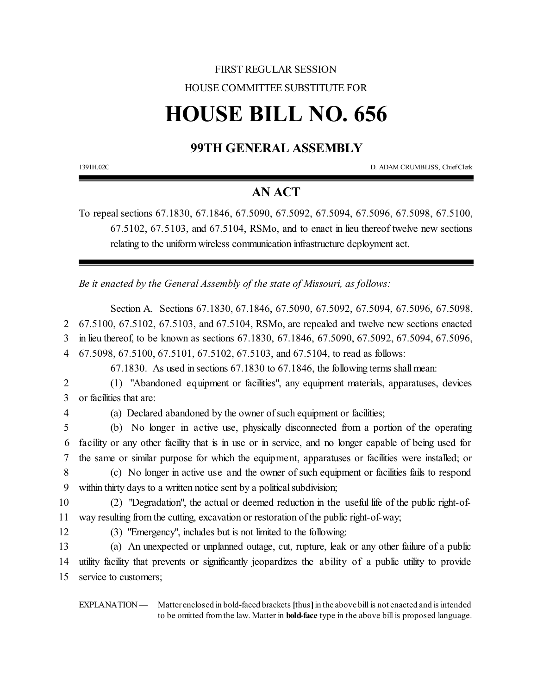## FIRST REGULAR SESSION HOUSE COMMITTEE SUBSTITUTE FOR

# **HOUSE BILL NO. 656**

## **99TH GENERAL ASSEMBLY**

1391H.02C D. ADAM CRUMBLISS, Chief Clerk

## **AN ACT**

To repeal sections 67.1830, 67.1846, 67.5090, 67.5092, 67.5094, 67.5096, 67.5098, 67.5100, 67.5102, 67.5103, and 67.5104, RSMo, and to enact in lieu thereof twelve new sections relating to the uniform wireless communication infrastructure deployment act.

*Be it enacted by the General Assembly of the state of Missouri, as follows:*

Section A. Sections 67.1830, 67.1846, 67.5090, 67.5092, 67.5094, 67.5096, 67.5098, 2 67.5100, 67.5102, 67.5103, and 67.5104, RSMo, are repealed and twelve new sections enacted 3 in lieu thereof, to be known as sections 67.1830, 67.1846, 67.5090, 67.5092, 67.5094, 67.5096,

4 67.5098, 67.5100, 67.5101, 67.5102, 67.5103, and 67.5104, to read as follows:

67.1830. As used in sections 67.1830 to 67.1846, the following terms shall mean:

2 (1) "Abandoned equipment or facilities", any equipment materials, apparatuses, devices 3 or facilities that are:

4 (a) Declared abandoned by the owner of such equipment or facilities;

5 (b) No longer in active use, physically disconnected from a portion of the operating 6 facility or any other facility that is in use or in service, and no longer capable of being used for 7 the same or similar purpose for which the equipment, apparatuses or facilities were installed; or

8 (c) No longer in active use and the owner of such equipment or facilities fails to respond 9 within thirty days to a written notice sent by a political subdivision;

10 (2) "Degradation", the actual or deemed reduction in the useful life of the public right-of-11 way resulting from the cutting, excavation or restoration ofthe public right-of-way;

12 (3) "Emergency", includes but is not limited to the following:

13 (a) An unexpected or unplanned outage, cut, rupture, leak or any other failure of a public 14 utility facility that prevents or significantly jeopardizes the ability of a public utility to provide 15 service to customers;

EXPLANATION — Matter enclosed in bold-faced brackets [thus] in the above bill is not enacted and is intended to be omitted fromthe law. Matter in **bold-face** type in the above bill is proposed language.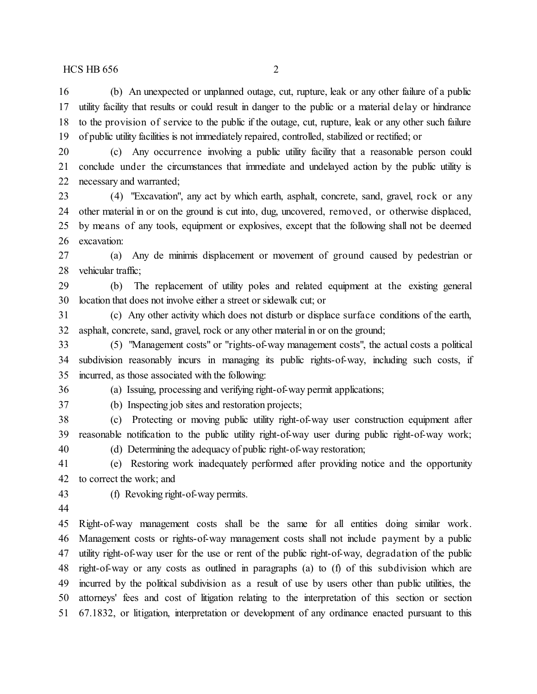(b) An unexpected or unplanned outage, cut, rupture, leak or any other failure of a public utility facility that results or could result in danger to the public or a material delay or hindrance to the provision of service to the public if the outage, cut, rupture, leak or any other such failure of public utility facilities is not immediately repaired, controlled, stabilized or rectified; or

 (c) Any occurrence involving a public utility facility that a reasonable person could conclude under the circumstances that immediate and undelayed action by the public utility is necessary and warranted;

 (4) "Excavation", any act by which earth, asphalt, concrete, sand, gravel, rock or any other material in or on the ground is cut into, dug, uncovered, removed, or otherwise displaced, by means of any tools, equipment or explosives, except that the following shall not be deemed excavation:

 (a) Any de minimis displacement or movement of ground caused by pedestrian or vehicular traffic;

 (b) The replacement of utility poles and related equipment at the existing general location that does not involve either a street or sidewalk cut; or

 (c) Any other activity which does not disturb or displace surface conditions of the earth, asphalt, concrete, sand, gravel, rock or any other material in or on the ground;

 (5) "Management costs" or "rights-of-way management costs", the actual costs a political subdivision reasonably incurs in managing its public rights-of-way, including such costs, if incurred, as those associated with the following:

(a) Issuing, processing and verifying right-of-way permit applications;

(b) Inspecting job sites and restoration projects;

 (c) Protecting or moving public utility right-of-way user construction equipment after reasonable notification to the public utility right-of-way user during public right-of-way work; (d) Determining the adequacy of public right-of-way restoration;

 (e) Restoring work inadequately performed after providing notice and the opportunity to correct the work; and

(f) Revoking right-of-way permits.

 Right-of-way management costs shall be the same for all entities doing similar work. Management costs or rights-of-way management costs shall not include payment by a public utility right-of-way user for the use or rent of the public right-of-way, degradation of the public right-of-way or any costs as outlined in paragraphs (a) to (f) of this subdivision which are incurred by the political subdivision as a result of use by users other than public utilities, the attorneys' fees and cost of litigation relating to the interpretation of this section or section 67.1832, or litigation, interpretation or development of any ordinance enacted pursuant to this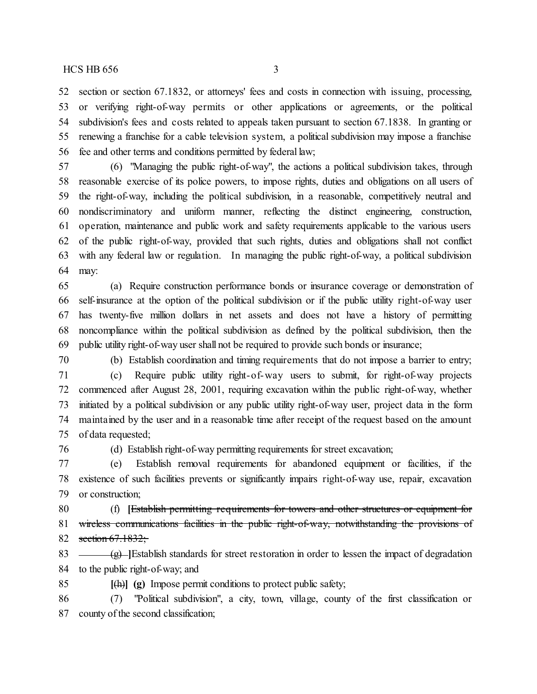section or section 67.1832, or attorneys' fees and costs in connection with issuing, processing, or verifying right-of-way permits or other applications or agreements, or the political subdivision's fees and costs related to appeals taken pursuant to section 67.1838. In granting or renewing a franchise for a cable television system, a political subdivision may impose a franchise fee and other terms and conditions permitted by federal law;

 (6) "Managing the public right-of-way", the actions a political subdivision takes, through reasonable exercise of its police powers, to impose rights, duties and obligations on all users of the right-of-way, including the political subdivision, in a reasonable, competitively neutral and nondiscriminatory and uniform manner, reflecting the distinct engineering, construction, operation, maintenance and public work and safety requirements applicable to the various users of the public right-of-way, provided that such rights, duties and obligations shall not conflict with any federal law or regulation. In managing the public right-of-way, a political subdivision may:

 (a) Require construction performance bonds or insurance coverage or demonstration of self-insurance at the option of the political subdivision or if the public utility right-of-way user has twenty-five million dollars in net assets and does not have a history of permitting noncompliance within the political subdivision as defined by the political subdivision, then the public utility right-of-way user shall not be required to provide such bonds or insurance;

 (b) Establish coordination and timing requirements that do not impose a barrier to entry; (c) Require public utility right-of-way users to submit, for right-of-way projects commenced after August 28, 2001, requiring excavation within the public right-of-way, whether initiated by a political subdivision or any public utility right-of-way user, project data in the form maintained by the user and in a reasonable time after receipt of the request based on the amount of data requested;

(d) Establish right-of-way permitting requirements for street excavation;

 (e) Establish removal requirements for abandoned equipment or facilities, if the existence of such facilities prevents or significantly impairs right-of-way use, repair, excavation or construction;

 (f) **[**Establish permitting requirements for towers and other structures or equipment for 81 wireless communications facilities in the public right-of-way, notwithstanding the provisions of 82 section  $67.1832$ ;

83 (g) **[Bestablish standards for street restoration in order to lessen the impact of degradation** to the public right-of-way; and

**[**(h)**] (g)** Impose permit conditions to protect public safety;

 (7) "Political subdivision", a city, town, village, county of the first classification or county of the second classification;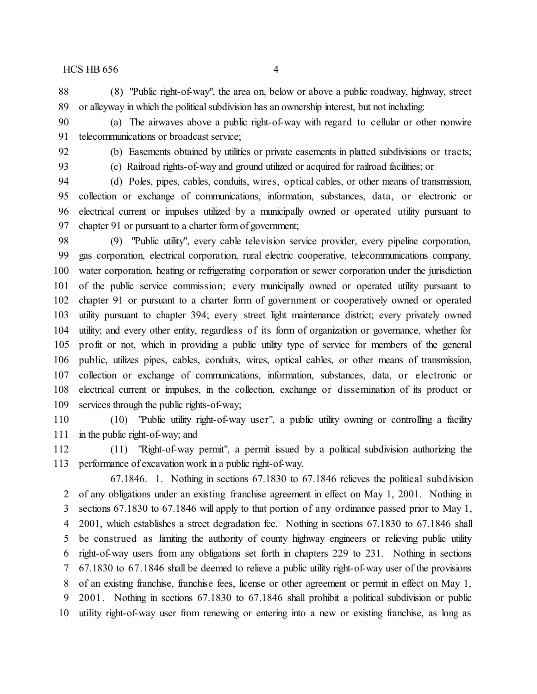(8) "Public right-of-way", the area on, below or above a public roadway, highway, street or alleyway in which the political subdivision has an ownership interest, but not including:

 (a) The airwaves above a public right-of-way with regard to cellular or other nonwire telecommunications or broadcast service;

(b) Easements obtained by utilities or private easements in platted subdivisions or tracts;

(c) Railroad rights-of-way and ground utilized or acquired for railroad facilities; or

 (d) Poles, pipes, cables, conduits, wires, optical cables, or other means of transmission, collection or exchange of communications, information, substances, data, or electronic or electrical current or impulses utilized by a municipally owned or operated utility pursuant to chapter 91 or pursuant to a charter form of government;

 (9) "Public utility", every cable television service provider, every pipeline corporation, gas corporation, electrical corporation, rural electric cooperative, telecommunications company, water corporation, heating or refrigerating corporation or sewer corporation under the jurisdiction of the public service commission; every municipally owned or operated utility pursuant to chapter 91 or pursuant to a charter form of government or cooperatively owned or operated utility pursuant to chapter 394; every street light maintenance district; every privately owned utility; and every other entity, regardless of its form of organization or governance, whether for profit or not, which in providing a public utility type of service for members of the general public, utilizes pipes, cables, conduits, wires, optical cables, or other means of transmission, collection or exchange of communications, information, substances, data, or electronic or electrical current or impulses, in the collection, exchange or dissemination of its product or services through the public rights-of-way;

 (10) "Public utility right-of-way user", a public utility owning or controlling a facility in the public right-of-way; and

 (11) "Right-of-way permit", a permit issued by a political subdivision authorizing the performance of excavation work in a public right-of-way.

67.1846. 1. Nothing in sections 67.1830 to 67.1846 relieves the political subdivision of any obligations under an existing franchise agreement in effect on May 1, 2001. Nothing in sections 67.1830 to 67.1846 will apply to that portion of any ordinance passed prior to May 1, 2001, which establishes a street degradation fee. Nothing in sections 67.1830 to 67.1846 shall be construed as limiting the authority of county highway engineers or relieving public utility right-of-way users from any obligations set forth in chapters 229 to 231. Nothing in sections 67.1830 to 67.1846 shall be deemed to relieve a public utility right-of-way user of the provisions of an existing franchise, franchise fees, license or other agreement or permit in effect on May 1, 2001. Nothing in sections 67.1830 to 67.1846 shall prohibit a political subdivision or public utility right-of-way user from renewing or entering into a new or existing franchise, as long as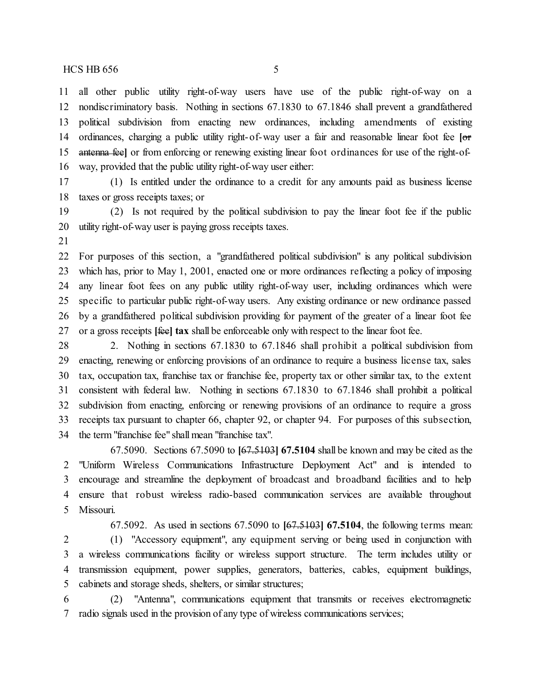all other public utility right-of-way users have use of the public right-of-way on a nondiscriminatory basis. Nothing in sections 67.1830 to 67.1846 shall prevent a grandfathered political subdivision from enacting new ordinances, including amendments of existing ordinances, charging a public utility right-of-way user a fair and reasonable linear foot fee **[**or antenna fee**]** or from enforcing or renewing existing linear foot ordinances for use of the right-of-way, provided that the public utility right-of-way user either:

 (1) Is entitled under the ordinance to a credit for any amounts paid as business license taxes or gross receipts taxes; or

 (2) Is not required by the political subdivision to pay the linear foot fee if the public utility right-of-way user is paying gross receipts taxes.

 For purposes of this section, a "grandfathered political subdivision" is any political subdivision which has, prior to May 1, 2001, enacted one or more ordinances reflecting a policy of imposing any linear foot fees on any public utility right-of-way user, including ordinances which were specific to particular public right-of-way users. Any existing ordinance or new ordinance passed by a grandfathered political subdivision providing for payment of the greater of a linear foot fee or a gross receipts **[**fee**] tax** shall be enforceable only with respect to the linear foot fee.

 2. Nothing in sections 67.1830 to 67.1846 shall prohibit a political subdivision from enacting, renewing or enforcing provisions of an ordinance to require a business license tax, sales tax, occupation tax, franchise tax or franchise fee, property tax or other similar tax, to the extent consistent with federal law. Nothing in sections 67.1830 to 67.1846 shall prohibit a political subdivision from enacting, enforcing or renewing provisions of an ordinance to require a gross receipts tax pursuant to chapter 66, chapter 92, or chapter 94. For purposes of this subsection, the term "franchise fee" shall mean "franchise tax".

67.5090. Sections 67.5090 to **[**67.5103**] 67.5104** shall be known and may be cited as the "Uniform Wireless Communications Infrastructure Deployment Act" and is intended to encourage and streamline the deployment of broadcast and broadband facilities and to help ensure that robust wireless radio-based communication services are available throughout Missouri.

67.5092. As used in sections 67.5090 to **[**67.5103**] 67.5104**, the following terms mean: (1) "Accessory equipment", any equipment serving or being used in conjunction with a wireless communications facility or wireless support structure. The term includes utility or transmission equipment, power supplies, generators, batteries, cables, equipment buildings, cabinets and storage sheds, shelters, or similar structures;

 (2) "Antenna", communications equipment that transmits or receives electromagnetic radio signals used in the provision of any type of wireless communications services;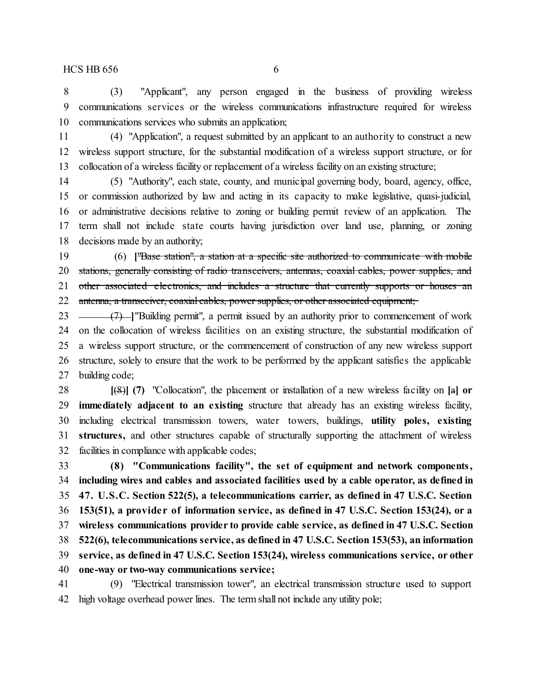(3) "Applicant", any person engaged in the business of providing wireless communications services or the wireless communications infrastructure required for wireless communications services who submits an application;

 (4) "Application", a request submitted by an applicant to an authority to construct a new wireless support structure, for the substantial modification of a wireless support structure, or for collocation of a wireless facility or replacement of a wireless facility on an existing structure;

 (5) "Authority", each state, county, and municipal governing body, board, agency, office, or commission authorized by law and acting in its capacity to make legislative, quasi-judicial, or administrative decisions relative to zoning or building permit review of an application. The term shall not include state courts having jurisdiction over land use, planning, or zoning decisions made by an authority;

 (6) **[**"Base station", a station at a specific site authorized to communicate with mobile stations, generally consisting of radio transceivers, antennas, coaxial cables, power supplies, and 21 other associated electronics, and includes a structure that currently supports or houses an 22 antenna, a transceiver, coaxial cables, power supplies, or other associated equipment;

 (7) **]**"Building permit", a permit issued by an authority prior to commencement of work on the collocation of wireless facilities on an existing structure, the substantial modification of a wireless support structure, or the commencement of construction of any new wireless support structure, solely to ensure that the work to be performed by the applicant satisfies the applicable building code;

 **[**(8)**] (7)** "Collocation", the placement or installation of a new wireless facility on **[**a**] or immediately adjacent to an existing** structure that already has an existing wireless facility, including electrical transmission towers, water towers, buildings, **utility poles, existing structures,** and other structures capable of structurally supporting the attachment of wireless facilities in compliance with applicable codes;

 **(8) "Communications facility", the set of equipment and network components, including wires and cables and associated facilities used by a cable operator, as defined in 47. U.S.C. Section 522(5), a telecommunications carrier, as defined in 47 U.S.C. Section 153(51), a provide r of information service, as defined in 47 U.S.C. Section 153(24), or a wireless communications provider to provide cable service, as defined in 47 U.S.C. Section 522(6), telecommunications service, as defined in 47 U.S.C. Section 153(53), an information service, as defined in 47 U.S.C. Section 153(24), wireless communications service, or other one-way or two-way communications service;**

 (9) "Electrical transmission tower", an electrical transmission structure used to support high voltage overhead power lines. The term shall not include any utility pole;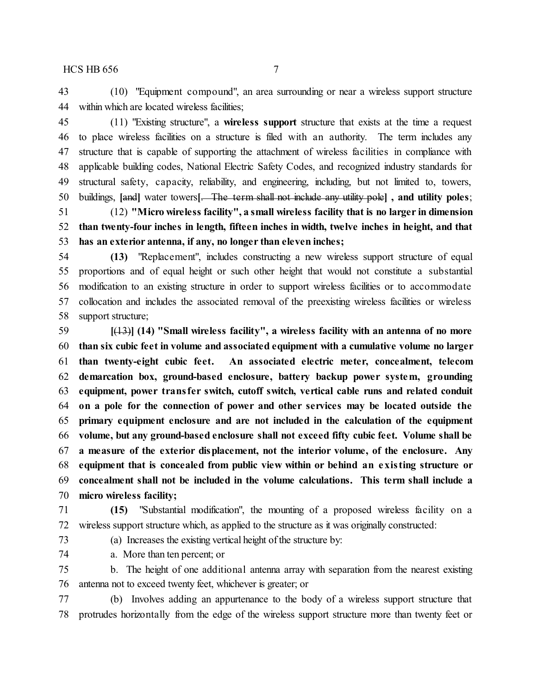(10) "Equipment compound", an area surrounding or near a wireless support structure within which are located wireless facilities;

 (11) "Existing structure", a **wireless support** structure that exists at the time a request to place wireless facilities on a structure is filed with an authority. The term includes any structure that is capable of supporting the attachment of wireless facilities in compliance with applicable building codes, National Electric Safety Codes, and recognized industry standards for structural safety, capacity, reliability, and engineering, including, but not limited to, towers, buildings, **[**and**]** water towers**[**. The term shall not include any utility pole**] , and utility poles**;

 (12) **"Micro wireless facility", a small wireless facility that is no larger in dimension than twenty-four inches in length, fifteen inches in width, twelve inches in height, and that has an exterior antenna, if any, no longer than eleven inches;**

 **(13)** "Replacement", includes constructing a new wireless support structure of equal proportions and of equal height or such other height that would not constitute a substantial modification to an existing structure in order to support wireless facilities or to accommodate collocation and includes the associated removal of the preexisting wireless facilities or wireless support structure;

 **[**(13)**] (14) "Small wireless facility", a wireless facility with an antenna of no more than six cubic feet in volume and associated equipment with a cumulative volume no larger than twenty-eight cubic feet. An associated electric meter, concealment, telecom demarcation box, ground-based enclosure, battery backup power system, grounding equipment, power transfer switch, cutoff switch, vertical cable runs and related conduit on a pole for the connection of power and other services may be located outside the primary equipment enclosure and are not included in the calculation of the equipment volume, but any ground-based enclosure shall not exceed fifty cubic feet. Volume shall be a measure of the exterior displacement, not the interior volume, of the enclosure. Any equipment that is concealed from public view within or behind an existing structure or concealment shall not be included in the volume calculations. This term shall include a micro wireless facility;**

 **(15)** "Substantial modification", the mounting of a proposed wireless facility on a wireless support structure which, as applied to the structure as it was originally constructed:

73 (a) Increases the existing vertical height of the structure by:

a. More than ten percent; or

 b. The height of one additional antenna array with separation from the nearest existing antenna not to exceed twenty feet, whichever is greater; or

 (b) Involves adding an appurtenance to the body of a wireless support structure that protrudes horizontally from the edge of the wireless support structure more than twenty feet or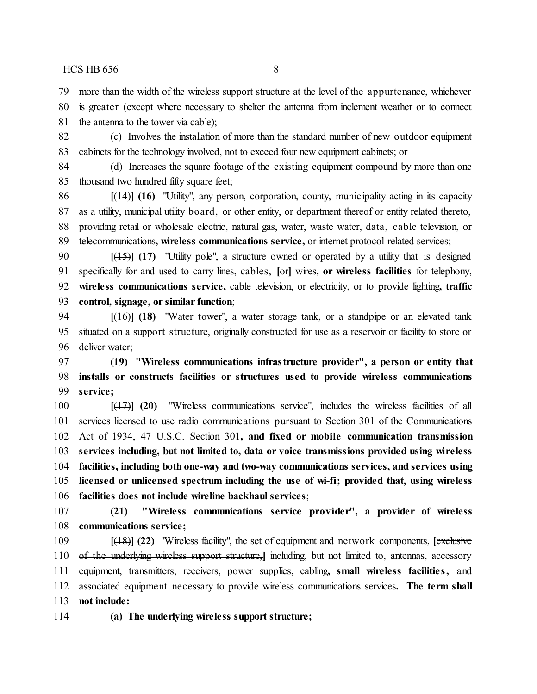more than the width of the wireless support structure at the level of the appurtenance, whichever

 is greater (except where necessary to shelter the antenna from inclement weather or to connect the antenna to the tower via cable);

 (c) Involves the installation of more than the standard number of new outdoor equipment cabinets for the technology involved, not to exceed four new equipment cabinets; or

 (d) Increases the square footage of the existing equipment compound by more than one thousand two hundred fifty square feet;

 **[**(14)**] (16)** "Utility", any person, corporation, county, municipality acting in its capacity as a utility, municipal utility board, or other entity, or department thereof or entity related thereto, providing retail or wholesale electric, natural gas, water, waste water, data, cable television, or telecommunications**, wireless communications service,** or internet protocol-related services;

 **[**(15)**] (17)** "Utility pole", a structure owned or operated by a utility that is designed specifically for and used to carry lines, cables, **[**or**]** wires**, or wireless facilities** for telephony, **wireless communications service,** cable television, or electricity, or to provide lighting**, traffic control, signage, or similar function**;

 **[**(16)**] (18)** "Water tower", a water storage tank, or a standpipe or an elevated tank situated on a support structure, originally constructed for use as a reservoir or facility to store or deliver water;

 **(19) "Wireless communications infrastructure provider", a person or entity that installs or constructs facilities or structures used to provide wireless communications service;**

 **[**(17)**] (20)** "Wireless communications service", includes the wireless facilities of all services licensed to use radio communications pursuant to Section 301 of the Communications Act of 1934, 47 U.S.C. Section 301**, and fixed or mobile communication transmission services including, but not limited to, data or voice transmissions provided using wireless facilities, including both one-way and two-way communications services, and services using licensed or unlicensed spectrum including the use of wi-fi; provided that, using wireless facilities does not include wireline backhaul services**;

 **(21) "Wireless communications service provider", a provider of wireless communications service;**

 **[**(18)**] (22)** "Wireless facility", the set of equipment and network components, **[**exclusive of the underlying wireless support structure,**]** including, but not limited to, antennas, accessory equipment, transmitters, receivers, power supplies, cabling**, small wireless facilitie s,** and associated equipment necessary to provide wireless communications services**. The term shall not include:**

**(a) The underlying wireless support structure;**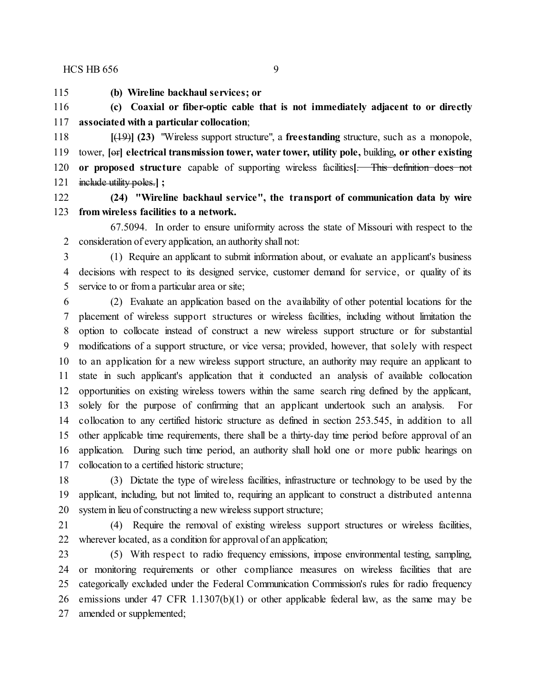**(b) Wireline backhaul services; or**

 **(c) Coaxial or fiber-optic cable that is not immediately adjacent to or directly associated with a particular collocation**;

 **[**(19)**] (23)** "Wireless support structure", a **freestanding** structure, such as a monopole, tower, **[**or**] electrical transmission tower, water tower, utility pole,** building**, or other existing or proposed structure** capable of supporting wireless facilities**[**. This definition does not include utility poles.**] ;**

 **(24) "Wireline backhaul service", the transport of communication data by wire from wireless facilities to a network.**

67.5094. In order to ensure uniformity across the state of Missouri with respect to the consideration of every application, an authority shall not:

 (1) Require an applicant to submit information about, or evaluate an applicant's business decisions with respect to its designed service, customer demand for service, or quality of its service to or from a particular area or site;

 (2) Evaluate an application based on the availability of other potential locations for the placement of wireless support structures or wireless facilities, including without limitation the option to collocate instead of construct a new wireless support structure or for substantial modifications of a support structure, or vice versa; provided, however, that solely with respect to an application for a new wireless support structure, an authority may require an applicant to state in such applicant's application that it conducted an analysis of available collocation opportunities on existing wireless towers within the same search ring defined by the applicant, solely for the purpose of confirming that an applicant undertook such an analysis. For collocation to any certified historic structure as defined in section 253.545, in addition to all other applicable time requirements, there shall be a thirty-day time period before approval of an application. During such time period, an authority shall hold one or more public hearings on collocation to a certified historic structure;

 (3) Dictate the type of wireless facilities, infrastructure or technology to be used by the applicant, including, but not limited to, requiring an applicant to construct a distributed antenna system in lieu of constructing a new wireless support structure;

 (4) Require the removal of existing wireless support structures or wireless facilities, wherever located, as a condition for approval of an application;

 (5) With respect to radio frequency emissions, impose environmental testing, sampling, or monitoring requirements or other compliance measures on wireless facilities that are categorically excluded under the Federal Communication Commission's rules for radio frequency emissions under 47 CFR 1.1307(b)(1) or other applicable federal law, as the same may be amended or supplemented;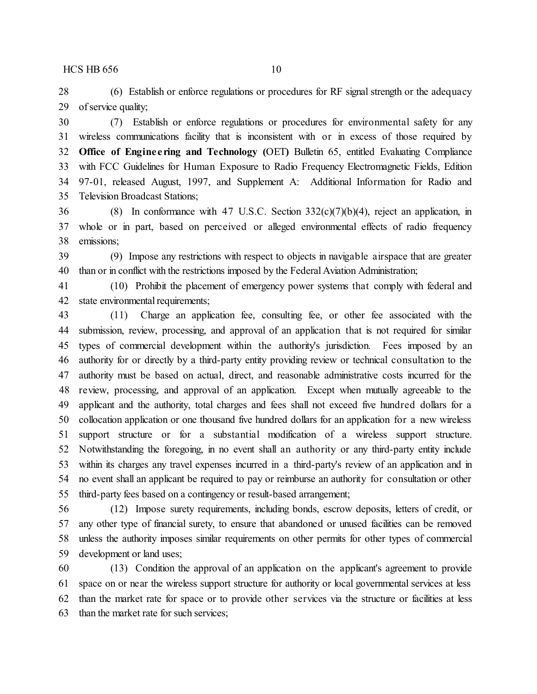(6) Establish or enforce regulations or procedures for RF signal strength or the adequacy of service quality;

 (7) Establish or enforce regulations or procedures for environmental safety for any wireless communications facility that is inconsistent with or in excess of those required by **Office of Engine e ring and Technology (**OET**)** Bulletin 65, entitled Evaluating Compliance with FCC Guidelines for Human Exposure to Radio Frequency Electromagnetic Fields, Edition 97-01, released August, 1997, and Supplement A: Additional Information for Radio and Television Broadcast Stations;

 (8) In conformance with 47 U.S.C. Section 332(c)(7)(b)(4), reject an application, in whole or in part, based on perceived or alleged environmental effects of radio frequency emissions;

 (9) Impose any restrictions with respect to objects in navigable airspace that are greater than or in conflict with the restrictions imposed by the Federal Aviation Administration;

 (10) Prohibit the placement of emergency power systems that comply with federal and 42 state environmental requirements;

 (11) Charge an application fee, consulting fee, or other fee associated with the submission, review, processing, and approval of an application that is not required for similar types of commercial development within the authority's jurisdiction. Fees imposed by an authority for or directly by a third-party entity providing review or technical consultation to the authority must be based on actual, direct, and reasonable administrative costs incurred for the review, processing, and approval of an application. Except when mutually agreeable to the applicant and the authority, total charges and fees shall not exceed five hundred dollars for a collocation application or one thousand five hundred dollars for an application for a new wireless support structure or for a substantial modification of a wireless support structure. Notwithstanding the foregoing, in no event shall an authority or any third-party entity include within its charges any travel expenses incurred in a third-party's review of an application and in no event shall an applicant be required to pay or reimburse an authority for consultation or other third-party fees based on a contingency or result-based arrangement;

 (12) Impose surety requirements, including bonds, escrow deposits, letters of credit, or any other type of financial surety, to ensure that abandoned or unused facilities can be removed unless the authority imposes similar requirements on other permits for other types of commercial development or land uses;

 (13) Condition the approval of an application on the applicant's agreement to provide space on or near the wireless support structure for authority or local governmental services at less than the market rate for space or to provide other services via the structure or facilities at less than the market rate for such services;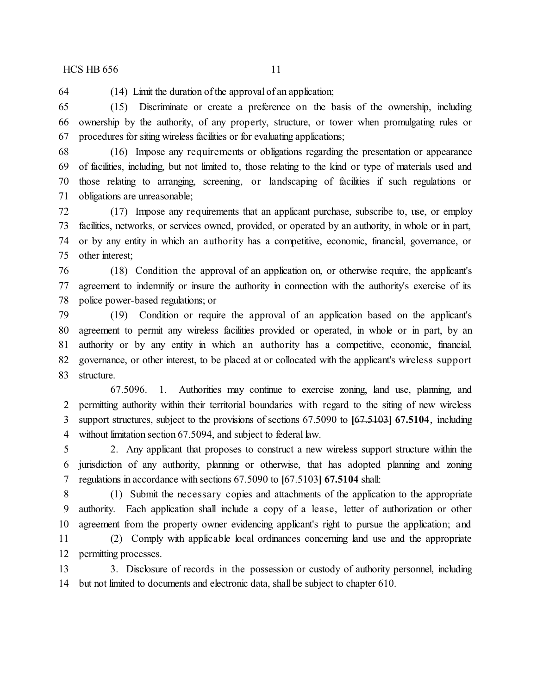(14) Limit the duration of the approval of an application;

 (15) Discriminate or create a preference on the basis of the ownership, including ownership by the authority, of any property, structure, or tower when promulgating rules or procedures for siting wireless facilities or for evaluating applications;

 (16) Impose any requirements or obligations regarding the presentation or appearance of facilities, including, but not limited to, those relating to the kind or type of materials used and those relating to arranging, screening, or landscaping of facilities if such regulations or obligations are unreasonable;

 (17) Impose any requirements that an applicant purchase, subscribe to, use, or employ facilities, networks, or services owned, provided, or operated by an authority, in whole or in part, or by any entity in which an authority has a competitive, economic, financial, governance, or other interest;

 (18) Condition the approval of an application on, or otherwise require, the applicant's agreement to indemnify or insure the authority in connection with the authority's exercise of its police power-based regulations; or

 (19) Condition or require the approval of an application based on the applicant's agreement to permit any wireless facilities provided or operated, in whole or in part, by an authority or by any entity in which an authority has a competitive, economic, financial, governance, or other interest, to be placed at or collocated with the applicant's wireless support structure.

67.5096. 1. Authorities may continue to exercise zoning, land use, planning, and permitting authority within their territorial boundaries with regard to the siting of new wireless support structures, subject to the provisions of sections 67.5090 to **[**67.5103**] 67.5104**, including without limitation section 67.5094, and subject to federal law.

 2. Any applicant that proposes to construct a new wireless support structure within the jurisdiction of any authority, planning or otherwise, that has adopted planning and zoning regulations in accordance with sections 67.5090 to **[**67.5103**] 67.5104** shall:

 (1) Submit the necessary copies and attachments of the application to the appropriate authority. Each application shall include a copy of a lease, letter of authorization or other agreement from the property owner evidencing applicant's right to pursue the application; and

 (2) Comply with applicable local ordinances concerning land use and the appropriate permitting processes.

 3. Disclosure of records in the possession or custody of authority personnel, including but not limited to documents and electronic data, shall be subject to chapter 610.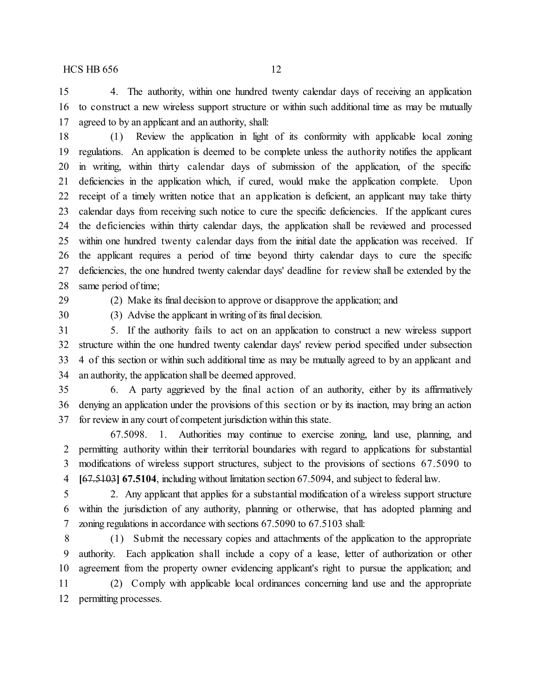4. The authority, within one hundred twenty calendar days of receiving an application to construct a new wireless support structure or within such additional time as may be mutually agreed to by an applicant and an authority, shall:

 (1) Review the application in light of its conformity with applicable local zoning regulations. An application is deemed to be complete unless the authority notifies the applicant

 in writing, within thirty calendar days of submission of the application, of the specific deficiencies in the application which, if cured, would make the application complete. Upon receipt of a timely written notice that an application is deficient, an applicant may take thirty calendar days from receiving such notice to cure the specific deficiencies. If the applicant cures the deficiencies within thirty calendar days, the application shall be reviewed and processed within one hundred twenty calendar days from the initial date the application was received. If the applicant requires a period of time beyond thirty calendar days to cure the specific deficiencies, the one hundred twenty calendar days' deadline for review shall be extended by the same period of time;

(2) Make its final decision to approve or disapprove the application; and

(3) Advise the applicant in writing of its final decision.

 5. If the authority fails to act on an application to construct a new wireless support structure within the one hundred twenty calendar days' review period specified under subsection 4 of this section or within such additional time as may be mutually agreed to by an applicant and an authority, the application shall be deemed approved.

 6. A party aggrieved by the final action of an authority, either by its affirmatively denying an application under the provisions of this section or by its inaction, may bring an action for review in any court of competent jurisdiction within this state.

67.5098. 1. Authorities may continue to exercise zoning, land use, planning, and permitting authority within their territorial boundaries with regard to applications for substantial modifications of wireless support structures, subject to the provisions of sections 67.5090 to **[**67.5103**] 67.5104**, including without limitation section 67.5094, and subject to federal law.

 2. Any applicant that applies for a substantial modification of a wireless support structure within the jurisdiction of any authority, planning or otherwise, that has adopted planning and zoning regulations in accordance with sections 67.5090 to 67.5103 shall:

 (1) Submit the necessary copies and attachments of the application to the appropriate authority. Each application shall include a copy of a lease, letter of authorization or other agreement from the property owner evidencing applicant's right to pursue the application; and (2) Comply with applicable local ordinances concerning land use and the appropriate

permitting processes.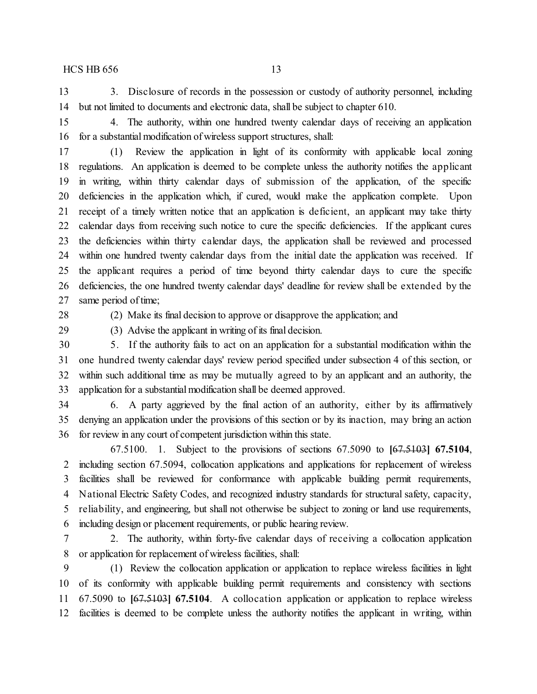3. Disclosure of records in the possession or custody of authority personnel, including but not limited to documents and electronic data, shall be subject to chapter 610.

 4. The authority, within one hundred twenty calendar days of receiving an application for a substantial modification of wireless support structures, shall:

 (1) Review the application in light of its conformity with applicable local zoning regulations. An application is deemed to be complete unless the authority notifies the applicant in writing, within thirty calendar days of submission of the application, of the specific deficiencies in the application which, if cured, would make the application complete. Upon receipt of a timely written notice that an application is deficient, an applicant may take thirty calendar days from receiving such notice to cure the specific deficiencies. If the applicant cures the deficiencies within thirty calendar days, the application shall be reviewed and processed within one hundred twenty calendar days from the initial date the application was received. If the applicant requires a period of time beyond thirty calendar days to cure the specific deficiencies, the one hundred twenty calendar days' deadline for review shall be extended by the same period of time;

(2) Make its final decision to approve or disapprove the application; and

(3) Advise the applicant in writing of its final decision.

 5. If the authority fails to act on an application for a substantial modification within the one hundred twenty calendar days' review period specified under subsection 4 of this section, or within such additional time as may be mutually agreed to by an applicant and an authority, the 33 application for a substantial modification shall be deemed approved.

 6. A party aggrieved by the final action of an authority, either by its affirmatively denying an application under the provisions of this section or by its inaction, may bring an action for review in any court of competent jurisdiction within this state.

67.5100. 1. Subject to the provisions of sections 67.5090 to **[**67.5103**] 67.5104**, including section 67.5094, collocation applications and applications for replacement of wireless facilities shall be reviewed for conformance with applicable building permit requirements, National Electric Safety Codes, and recognized industry standards for structural safety, capacity, reliability, and engineering, but shall not otherwise be subject to zoning or land use requirements, including design or placement requirements, or public hearing review.

 2. The authority, within forty-five calendar days of receiving a collocation application or application for replacement of wireless facilities, shall:

 (1) Review the collocation application or application to replace wireless facilities in light of its conformity with applicable building permit requirements and consistency with sections 67.5090 to **[**67.5103**] 67.5104**. A collocation application or application to replace wireless facilities is deemed to be complete unless the authority notifies the applicant in writing, within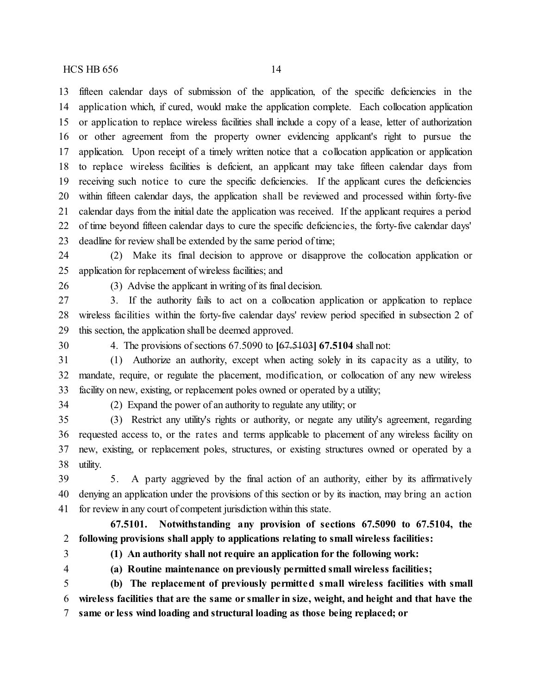fifteen calendar days of submission of the application, of the specific deficiencies in the application which, if cured, would make the application complete. Each collocation application or application to replace wireless facilities shall include a copy of a lease, letter of authorization or other agreement from the property owner evidencing applicant's right to pursue the application. Upon receipt of a timely written notice that a collocation application or application to replace wireless facilities is deficient, an applicant may take fifteen calendar days from receiving such notice to cure the specific deficiencies. If the applicant cures the deficiencies within fifteen calendar days, the application shall be reviewed and processed within forty-five calendar days from the initial date the application was received. If the applicant requires a period of time beyond fifteen calendar days to cure the specific deficiencies, the forty-five calendar days' deadline for review shall be extended by the same period of time;

 (2) Make its final decision to approve or disapprove the collocation application or application for replacement of wireless facilities; and

(3) Advise the applicant in writing of its final decision.

 3. If the authority fails to act on a collocation application or application to replace wireless facilities within the forty-five calendar days' review period specified in subsection 2 of this section, the application shall be deemed approved.

4. The provisions of sections 67.5090 to **[**67.5103**] 67.5104** shall not:

 (1) Authorize an authority, except when acting solely in its capacity as a utility, to mandate, require, or regulate the placement, modification, or collocation of any new wireless facility on new, existing, or replacement poles owned or operated by a utility;

(2) Expand the power of an authority to regulate any utility; or

 (3) Restrict any utility's rights or authority, or negate any utility's agreement, regarding requested access to, or the rates and terms applicable to placement of any wireless facility on new, existing, or replacement poles, structures, or existing structures owned or operated by a utility.

 5. A party aggrieved by the final action of an authority, either by its affirmatively denying an application under the provisions of this section or by its inaction, may bring an action for review in any court of competent jurisdiction within this state.

**67.5101. Notwithstanding any provision of sections 67.5090 to 67.5104, the following provisions shall apply to applications relating to small wireless facilities:**

**(1) An authority shall not require an application for the following work:**

**(a) Routine maintenance on previously permitted small wireless facilities;**

 **(b) The replacement of previously permitted small wireless facilities with small wireless facilities that are the same or smaller in size, weight, and height and that have the same or less wind loading and structural loading as those being replaced; or**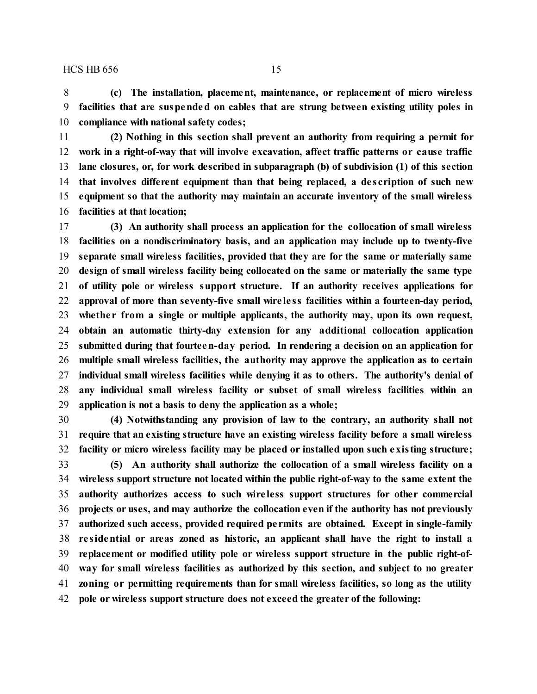**(c) The installation, placement, maintenance, or replacement of micro wireless facilities that are suspended on cables that are strung between existing utility poles in compliance with national safety codes;**

 **(2) Nothing in this section shall prevent an authority from requiring a permit for work in a right-of-way that will involve excavation, affect traffic patterns or cause traffic lane closures, or, for work described in subparagraph (b) of subdivision (1) of this section that involves different equipment than that being replaced, a de scription of such new equipment so that the authority may maintain an accurate inventory of the small wireless facilities at that location;**

 **(3) An authority shall process an application for the collocation of small wireless facilities on a nondiscriminatory basis, and an application may include up to twenty-five separate small wireless facilities, provided that they are for the same or materially same design of small wireless facility being collocated on the same or materially the same type of utility pole or wireless support structure. If an authority receives applications for approval of more than seventy-five small wire le ss facilities within a fourteen-day period, whethe r from a single or multiple applicants, the authority may, upon its own request, obtain an automatic thirty-day extension for any additional collocation application submitted during that fourteen-day period. In rendering a decision on an application for multiple small wireless facilities, the authority may approve the application as to certain individual small wireless facilities while denying it as to others. The authority's denial of any individual small wireless facility or subset of small wireless facilities within an application is not a basis to deny the application as a whole;**

 **(4) Notwithstanding any provision of law to the contrary, an authority shall not require that an existing structure have an existing wireless facility before a small wireless facility or micro wireless facility may be placed or installed upon such existing structure;**

 **(5) An authority shall authorize the collocation of a small wireless facility on a wireless support structure not located within the public right-of-way to the same extent the authority authorizes access to such wire less support structures for other commercial projects or uses, and may authorize the collocation even if the authority has not previously authorized such access, provided required pe rmits are obtained. Except in single-family re sidential or areas zoned as historic, an applicant shall have the right to install a replacement or modified utility pole or wireless support structure in the public right-of- way for small wireless facilities as authorized by this section, and subject to no greater zoning or permitting requirements than for small wireless facilities, so long as the utility pole or wireless support structure does not exceed the greater of the following:**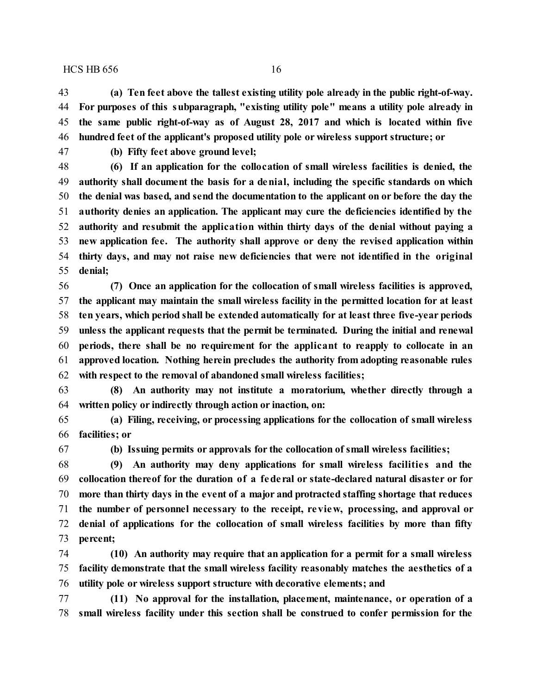**(a) Ten feet above the tallest existing utility pole already in the public right-of-way. For purposes of this subparagraph, "existing utility pole" means a utility pole already in the same public right-of-way as of August 28, 2017 and which is located within five hundred feet of the applicant's proposed utility pole or wireless support structure; or**

**(b) Fifty feet above ground level;**

 **(6) If an application for the collocation of small wireless facilities is denied, the authority shall document the basis for a denial, including the specific standards on which the denial was based, and send the documentation to the applicant on or before the day the authority denies an application. The applicant may cure the deficiencies identified by the authority and resubmit the application within thirty days of the denial without paying a new application fee. The authority shall approve or deny the revised application within thirty days, and may not raise new deficiencies that were not identified in the original denial;**

 **(7) Once an application for the collocation of small wireless facilities is approved, the applicant may maintain the small wireless facility in the permitted location for at least ten years, which period shall be extended automatically for at least three five-year periods unless the applicant requests that the permit be terminated. During the initial and renewal periods, there shall be no requirement for the applicant to reapply to collocate in an approved location. Nothing herein precludes the authority from adopting reasonable rules with respect to the removal of abandoned small wireless facilities;**

 **(8) An authority may not institute a moratorium, whether directly through a written policy or indirectly through action or inaction, on:**

 **(a) Filing, receiving, or processing applications for the collocation of small wireless facilities; or**

**(b) Issuing permits or approvals for the collocation of small wireless facilities;**

 **(9) An authority may deny applications for small wireless facilitie s and the collocation thereof for the duration of a fede ral or state-declared natural disaster or for more than thirty days in the event of a major and protracted staffing shortage that reduces the number of personnel necessary to the receipt, review, processing, and approval or denial of applications for the collocation of small wireless facilities by more than fifty percent;**

 **(10) An authority may require that an application for a permit for a small wireless facility demonstrate that the small wireless facility reasonably matches the aesthetics of a utility pole or wireless support structure with decorative elements; and**

 **(11) No approval for the installation, placement, maintenance, or operation of a small wireless facility under this section shall be construed to confer permission for the**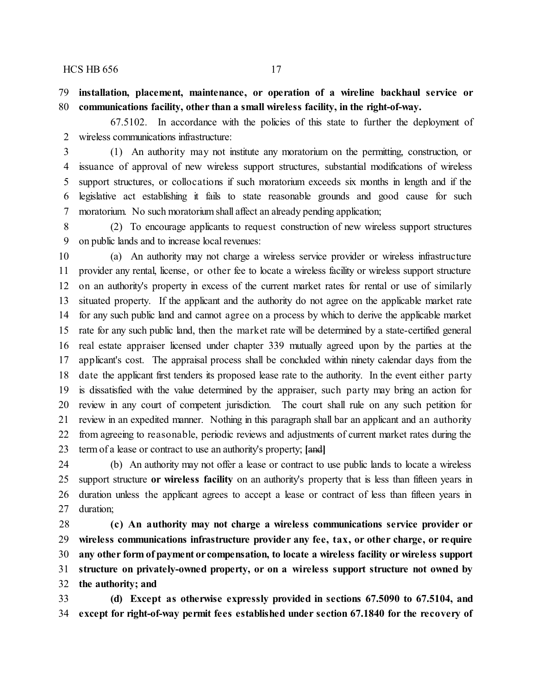**installation, placement, maintenance, or operation of a wireline backhaul service or communications facility, other than a small wireless facility, in the right-of-way.**

67.5102. In accordance with the policies of this state to further the deployment of wireless communications infrastructure:

 (1) An authority may not institute any moratorium on the permitting, construction, or issuance of approval of new wireless support structures, substantial modifications of wireless support structures, or collocations if such moratorium exceeds six months in length and if the legislative act establishing it fails to state reasonable grounds and good cause for such moratorium. No such moratorium shall affect an already pending application;

 (2) To encourage applicants to request construction of new wireless support structures on public lands and to increase local revenues:

 (a) An authority may not charge a wireless service provider or wireless infrastructure provider any rental, license, or other fee to locate a wireless facility or wireless support structure on an authority's property in excess of the current market rates for rental or use of similarly situated property. If the applicant and the authority do not agree on the applicable market rate for any such public land and cannot agree on a process by which to derive the applicable market rate for any such public land, then the market rate will be determined by a state-certified general real estate appraiser licensed under chapter 339 mutually agreed upon by the parties at the applicant's cost. The appraisal process shall be concluded within ninety calendar days from the date the applicant first tenders its proposed lease rate to the authority. In the event either party is dissatisfied with the value determined by the appraiser, such party may bring an action for review in any court of competent jurisdiction. The court shall rule on any such petition for review in an expedited manner. Nothing in this paragraph shall bar an applicant and an authority from agreeing to reasonable, periodic reviews and adjustments of current market rates during the term of a lease or contract to use an authority's property; **[**and**]**

 (b) An authority may not offer a lease or contract to use public lands to locate a wireless support structure **or wireless facility** on an authority's property that is less than fifteen years in duration unless the applicant agrees to accept a lease or contract of less than fifteen years in duration;

 **(c) An authority may not charge a wireless communications service provider or wireless communications infrastructure provider any fee, tax, or other charge, or require any other form of payment or compensation, to locate a wireless facility or wireless support structure on privately-owned property, or on a wireless support structure not owned by the authority; and**

 **(d) Except as otherwise expressly provided in sections 67.5090 to 67.5104, and except for right-of-way permit fees established under section 67.1840 for the recovery of**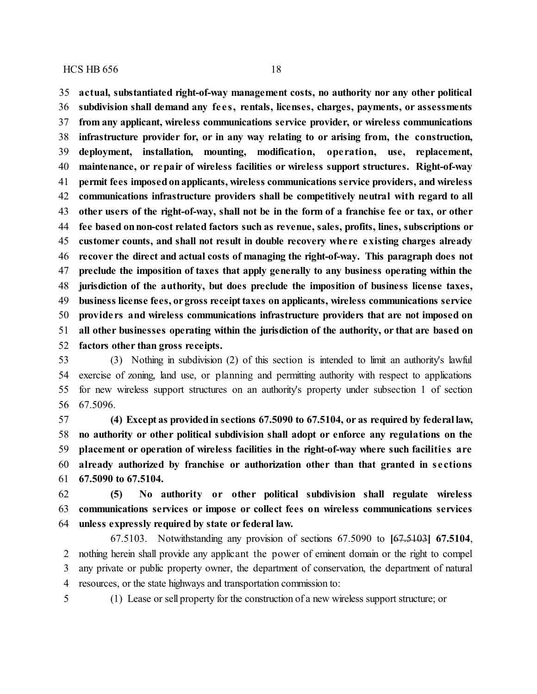**actual, substantiated right-of-way management costs, no authority nor any other political subdivision shall demand any fe e s, rentals, licenses, charges, payments, or assessments from any applicant, wireless communications service provider, or wireless communications infrastructure provider for, or in any way relating to or arising from, the construction, deployment, installation, mounting, modification, ope ration, use, replacement, maintenance, or repair of wireless facilities or wireless support structures. Right-of-way permit fees imposedonapplicants, wireless communications service providers, and wireless communications infrastructure providers shall be competitively neutral with regard to all other users of the right-of-way, shall not be in the form of a franchise fee or tax, or other fee based onnon-cost related factors such as revenue, sales, profits, lines, subscriptions or customer counts, and shall not result in double recovery whe re existing charges already recover the direct and actual costs of managing the right-of-way. This paragraph does not preclude the imposition of taxes that apply generally to any business operating within the jurisdiction of the authority, but does preclude the imposition of business license taxes, business license fees, orgross receipttaxes on applicants, wireless communications service provide rs and wireless communications infrastructure providers that are not imposed on all other businesses operating within the jurisdiction of the authority, or that are based on factors other than gross receipts.**

 (3) Nothing in subdivision (2) of this section is intended to limit an authority's lawful exercise of zoning, land use, or planning and permitting authority with respect to applications for new wireless support structures on an authority's property under subsection 1 of section 67.5096.

 **(4) Except as providedin sections 67.5090 to 67.5104, or as required by federal law, no authority or other political subdivision shall adopt or enforce any regulations on the placement or operation of wireless facilities in the right-of-way where such facilitie s are already authorized by franchise or authorization other than that granted in se ctions 67.5090 to 67.5104.**

 **(5) No authority or other political subdivision shall regulate wireless communications services or impose or collect fees on wireless communications services unless expressly required by state or federal law.**

67.5103. Notwithstanding any provision of sections 67.5090 to **[**67.5103**] 67.5104**, nothing herein shall provide any applicant the power of eminent domain or the right to compel any private or public property owner, the department of conservation, the department of natural resources, or the state highways and transportation commission to:

(1) Lease or sell property for the construction of a new wireless support structure; or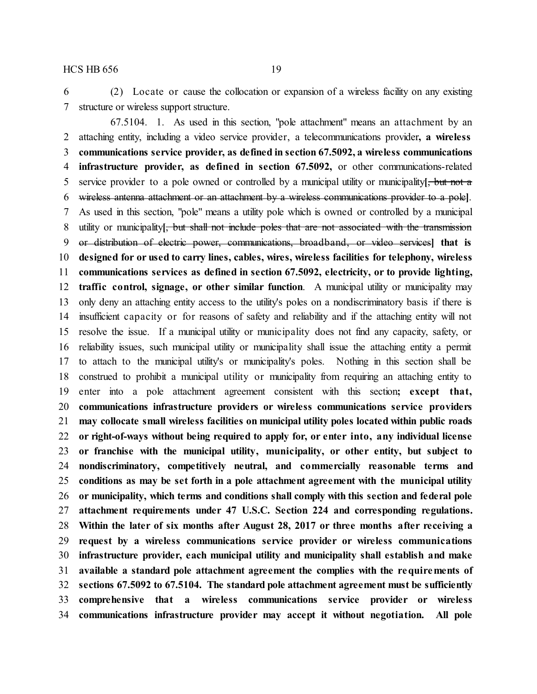(2) Locate or cause the collocation or expansion of a wireless facility on any existing structure or wireless support structure.

67.5104. 1. As used in this section, "pole attachment" means an attachment by an attaching entity, including a video service provider, a telecommunications provider**, a wireless communications service provider, as defined in section 67.5092, a wireless communications infrastructure provider, as defined in section 67.5092,** or other communications-related service provider to a pole owned or controlled by a municipal utility or municipality**[**, but not a wireless antenna attachment or an attachment by a wireless communications provider to a pole**]**. As used in this section, "pole" means a utility pole which is owned or controlled by a municipal utility or municipality**[**, but shall not include poles that are not associated with the transmission or distribution of electric power, communications, broadband, or video services**] that is designed for or used to carry lines, cables, wires, wireless facilities for telephony, wireless communications services as defined in section 67.5092, electricity, or to provide lighting, traffic control, signage, or other similar function**. A municipal utility or municipality may only deny an attaching entity access to the utility's poles on a nondiscriminatory basis if there is insufficient capacity or for reasons of safety and reliability and if the attaching entity will not resolve the issue. If a municipal utility or municipality does not find any capacity, safety, or reliability issues, such municipal utility or municipality shall issue the attaching entity a permit to attach to the municipal utility's or municipality's poles. Nothing in this section shall be construed to prohibit a municipal utility or municipality from requiring an attaching entity to enter into a pole attachment agreement consistent with this section**; except that, communications infrastructure providers or wireless communications service providers may collocate small wireless facilities on municipal utility poles located within public roads or right-of-ways without being required to apply for, or enter into, any individual license or franchise with the municipal utility, municipality, or other entity, but subject to nondiscriminatory, competitively neutral, and commercially reasonable terms and conditions as may be set forth in a pole attachment agreement with the municipal utility or municipality, which terms and conditions shall comply with this section and federal pole attachment requirements under 47 U.S.C. Section 224 and corresponding regulations. Within the later of six months after August 28, 2017 or three months after receiving a request by a wireless communications service provider or wireless communications infrastructure provider, each municipal utility and municipality shall establish and make available a standard pole attachment agreement the complies with the requirements of sections 67.5092 to 67.5104. The standard pole attachment agreement must be sufficiently comprehensive that a wireless communications service provider or wireless communications infrastructure provider may accept it without negotiation. All pole**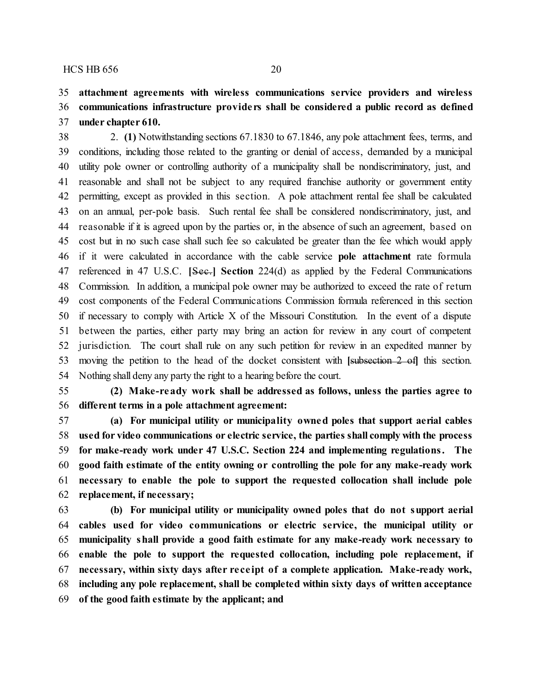### **attachment agreements with wireless communications service providers and wireless communications infrastructure provide rs shall be considered a public record as defined under chapter 610.**

 2. **(1)** Notwithstanding sections 67.1830 to 67.1846, any pole attachment fees, terms, and conditions, including those related to the granting or denial of access, demanded by a municipal utility pole owner or controlling authority of a municipality shall be nondiscriminatory, just, and reasonable and shall not be subject to any required franchise authority or government entity permitting, except as provided in this section. A pole attachment rental fee shall be calculated on an annual, per-pole basis. Such rental fee shall be considered nondiscriminatory, just, and reasonable if it is agreed upon by the parties or, in the absence of such an agreement, based on cost but in no such case shall such fee so calculated be greater than the fee which would apply if it were calculated in accordance with the cable service **pole attachment** rate formula referenced in 47 U.S.C. **[**Sec.**] Section** 224(d) as applied by the Federal Communications Commission. In addition, a municipal pole owner may be authorized to exceed the rate of return cost components of the Federal Communications Commission formula referenced in this section if necessary to comply with Article X of the Missouri Constitution. In the event of a dispute between the parties, either party may bring an action for review in any court of competent jurisdiction. The court shall rule on any such petition for review in an expedited manner by moving the petition to the head of the docket consistent with **[**subsection 2 of**]** this section. Nothing shall deny any party the right to a hearing before the court.

 **(2) Make-ready work shall be addressed as follows, unless the parties agree to different terms in a pole attachment agreement:**

 **(a) For municipal utility or municipality owned poles that support aerial cables used for video communications or electric service, the parties shall comply with the process for make-ready work under 47 U.S.C. Section 224 and implementing regulations. The good faith estimate of the entity owning or controlling the pole for any make-ready work necessary to enable the pole to support the requested collocation shall include pole replacement, if necessary;**

 **(b) For municipal utility or municipality owned poles that do not support aerial cables used for video communications or electric service, the municipal utility or municipality shall provide a good faith estimate for any make-ready work necessary to enable the pole to support the requested collocation, including pole replacement, if necessary, within sixty days after re ce ipt of a complete application. Make-ready work, including any pole replacement, shall be completed within sixty days of written acceptance of the good faith estimate by the applicant; and**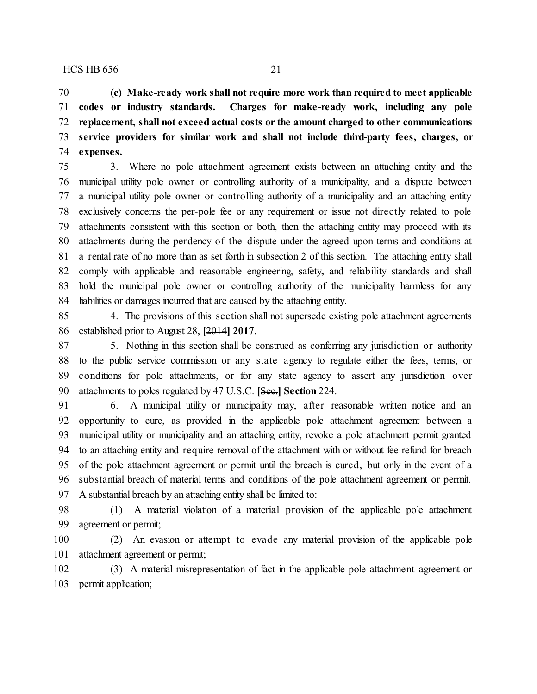**(c) Make-ready work shall not require more work than required to meet applicable codes or industry standards. Charges for make-ready work, including any pole replacement, shall not exceed actual costs or the amount charged to other communications service providers for similar work and shall not include third-party fees, charges, or expenses.**

 3. Where no pole attachment agreement exists between an attaching entity and the municipal utility pole owner or controlling authority of a municipality, and a dispute between a municipal utility pole owner or controlling authority of a municipality and an attaching entity exclusively concerns the per-pole fee or any requirement or issue not directly related to pole attachments consistent with this section or both, then the attaching entity may proceed with its attachments during the pendency of the dispute under the agreed-upon terms and conditions at a rental rate of no more than as set forth in subsection 2 of this section. The attaching entity shall comply with applicable and reasonable engineering, safety**,** and reliability standards and shall hold the municipal pole owner or controlling authority of the municipality harmless for any liabilities or damages incurred that are caused by the attaching entity.

 4. The provisions of this section shall not supersede existing pole attachment agreements established prior to August 28, **[**2014**] 2017**.

 5. Nothing in this section shall be construed as conferring any jurisdiction or authority to the public service commission or any state agency to regulate either the fees, terms, or conditions for pole attachments, or for any state agency to assert any jurisdiction over attachments to poles regulated by 47 U.S.C. **[**Sec.**] Section** 224.

 6. A municipal utility or municipality may, after reasonable written notice and an opportunity to cure, as provided in the applicable pole attachment agreement between a municipal utility or municipality and an attaching entity, revoke a pole attachment permit granted to an attaching entity and require removal of the attachment with or without fee refund for breach of the pole attachment agreement or permit until the breach is cured, but only in the event of a substantial breach of material terms and conditions of the pole attachment agreement or permit. A substantial breach by an attaching entity shall be limited to:

 (1) A material violation of a material provision of the applicable pole attachment agreement or permit;

 (2) An evasion or attempt to evade any material provision of the applicable pole attachment agreement or permit;

 (3) A material misrepresentation of fact in the applicable pole attachment agreement or permit application;